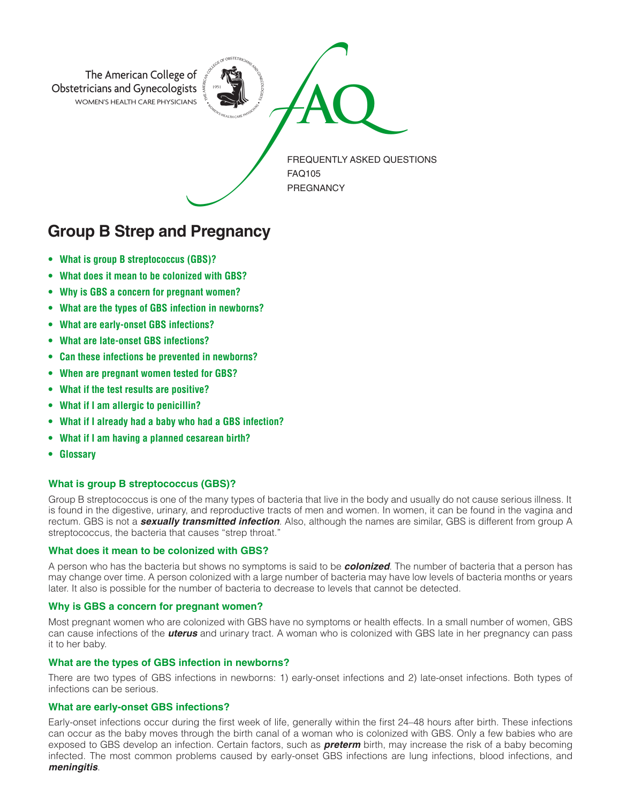

# **Group B Strep and Pregnancy**

- **• What is group B streptococcus (GBS)?**
- **• What does it mean to be colonized with GBS?**
- **• Why is GBS a concern for pregnant women?**
- **• What are the types of GBS infection in newborns?**
- **• What are early-onset GBS infections?**
- **• What are late-onset GBS infections?**
- **• Can these infections be prevented in newborns?**
- **• When are pregnant women tested for GBS?**
- **• What if the test results are positive?**
- **• What if I am allergic to penicillin?**
- **• What if I already had a baby who had a GBS infection?**
- **• What if I am having a planned cesarean birth?**
- **• Glossary**

# **What is group B streptococcus (GBS)?**

Group B streptococcus is one of the many types of bacteria that live in the body and usually do not cause serious illness. It is found in the digestive, urinary, and reproductive tracts of men and women. In women, it can be found in the vagina and rectum. GBS is not a *sexually transmitted infection*. Also, although the names are similar, GBS is different from group A streptococcus, the bacteria that causes "strep throat."

## **What does it mean to be colonized with GBS?**

A person who has the bacteria but shows no symptoms is said to be *colonized*. The number of bacteria that a person has may change over time. A person colonized with a large number of bacteria may have low levels of bacteria months or years later. It also is possible for the number of bacteria to decrease to levels that cannot be detected.

## **Why is GBS a concern for pregnant women?**

Most pregnant women who are colonized with GBS have no symptoms or health effects. In a small number of women, GBS can cause infections of the *uterus* and urinary tract. A woman who is colonized with GBS late in her pregnancy can pass it to her baby.

# **What are the types of GBS infection in newborns?**

There are two types of GBS infections in newborns: 1) early-onset infections and 2) late-onset infections. Both types of infections can be serious.

## **What are early-onset GBS infections?**

Early-onset infections occur during the first week of life, generally within the first 24–48 hours after birth. These infections can occur as the baby moves through the birth canal of a woman who is colonized with GBS. Only a few babies who are exposed to GBS develop an infection. Certain factors, such as *preterm* birth, may increase the risk of a baby becoming infected. The most common problems caused by early-onset GBS infections are lung infections, blood infections, and *meningitis*.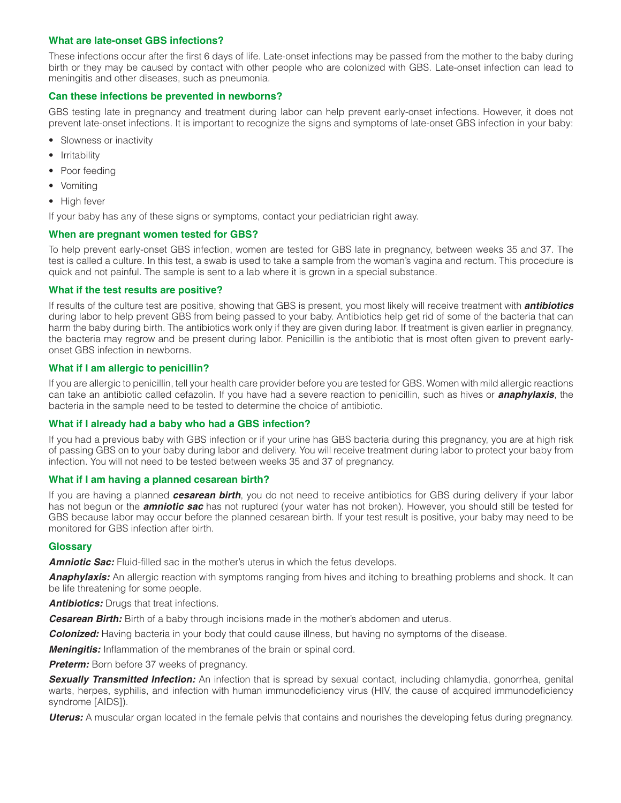# **What are late-onset GBS infections?**

These infections occur after the first 6 days of life. Late-onset infections may be passed from the mother to the baby during birth or they may be caused by contact with other people who are colonized with GBS. Late-onset infection can lead to meningitis and other diseases, such as pneumonia.

## **Can these infections be prevented in newborns?**

GBS testing late in pregnancy and treatment during labor can help prevent early-onset infections. However, it does not prevent late-onset infections. It is important to recognize the signs and symptoms of late-onset GBS infection in your baby:

- Slowness or inactivity
- Irritability
- Poor feeding
- Vomiting
- High fever

If your baby has any of these signs or symptoms, contact your pediatrician right away.

# **When are pregnant women tested for GBS?**

To help prevent early-onset GBS infection, women are tested for GBS late in pregnancy, between weeks 35 and 37. The test is called a culture. In this test, a swab is used to take a sample from the woman's vagina and rectum. This procedure is quick and not painful. The sample is sent to a lab where it is grown in a special substance.

# **What if the test results are positive?**

If results of the culture test are positive, showing that GBS is present, you most likely will receive treatment with *antibiotics* during labor to help prevent GBS from being passed to your baby. Antibiotics help get rid of some of the bacteria that can harm the baby during birth. The antibiotics work only if they are given during labor. If treatment is given earlier in pregnancy, the bacteria may regrow and be present during labor. Penicillin is the antibiotic that is most often given to prevent earlyonset GBS infection in newborns.

## **What if I am allergic to penicillin?**

If you are allergic to penicillin, tell your health care provider before you are tested for GBS. Women with mild allergic reactions can take an antibiotic called cefazolin. If you have had a severe reaction to penicillin, such as hives or *anaphylaxis*, the bacteria in the sample need to be tested to determine the choice of antibiotic.

## **What if I already had a baby who had a GBS infection?**

If you had a previous baby with GBS infection or if your urine has GBS bacteria during this pregnancy, you are at high risk of passing GBS on to your baby during labor and delivery. You will receive treatment during labor to protect your baby from infection. You will not need to be tested between weeks 35 and 37 of pregnancy.

# **What if I am having a planned cesarean birth?**

If you are having a planned *cesarean birth*, you do not need to receive antibiotics for GBS during delivery if your labor has not begun or the *amniotic sac* has not ruptured (your water has not broken). However, you should still be tested for GBS because labor may occur before the planned cesarean birth. If your test result is positive, your baby may need to be monitored for GBS infection after birth.

## **Glossary**

**Amniotic Sac:** Fluid-filled sac in the mother's uterus in which the fetus develops.

*Anaphylaxis:* An allergic reaction with symptoms ranging from hives and itching to breathing problems and shock. It can be life threatening for some people.

**Antibiotics:** Drugs that treat infections.

**Cesarean Birth:** Birth of a baby through incisions made in the mother's abdomen and uterus.

*Colonized:* Having bacteria in your body that could cause illness, but having no symptoms of the disease.

*Meningitis:* Inflammation of the membranes of the brain or spinal cord.

**Preterm:** Born before 37 weeks of pregnancy.

*Sexually Transmitted Infection:* An infection that is spread by sexual contact, including chlamydia, gonorrhea, genital warts, herpes, syphilis, and infection with human immunodeficiency virus (HIV, the cause of acquired immunodeficiency syndrome [AIDS]).

*Uterus:* A muscular organ located in the female pelvis that contains and nourishes the developing fetus during pregnancy.